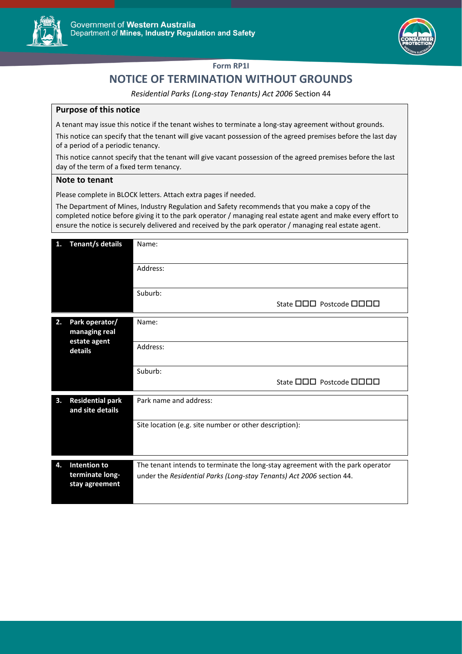



## **Form RP1I**

## **NOTICE OF TERMINATION WITHOUT GROUNDS**

*Residential Parks (Long-stay Tenants) Act 2006* Section 44

## **Purpose of this notice**

A tenant may issue this notice if the tenant wishes to terminate a long-stay agreement without grounds.

This notice can specify that the tenant will give vacant possession of the agreed premises before the last day of a period of a periodic tenancy.

This notice cannot specify that the tenant will give vacant possession of the agreed premises before the last day of the term of a fixed term tenancy.

## **Note to tenant**

Please complete in BLOCK letters. Attach extra pages if needed.

The Department of Mines, Industry Regulation and Safety recommends that you make a copy of the completed notice before giving it to the park operator / managing real estate agent and make every effort to ensure the notice is securely delivered and received by the park operator / managing real estate agent.

| 1. | Tenant/s details                                           | Name:                                                                          |  |  |
|----|------------------------------------------------------------|--------------------------------------------------------------------------------|--|--|
|    |                                                            | Address:                                                                       |  |  |
|    |                                                            | Suburb:<br>State <b>OOO</b> Postcode <b>OOOO</b>                               |  |  |
| 2. | Park operator/<br>managing real<br>estate agent<br>details | Name:                                                                          |  |  |
|    |                                                            | Address:                                                                       |  |  |
|    |                                                            | Suburb:<br>State <b>OOO</b> Postcode <b>OOOO</b>                               |  |  |
| 3. | <b>Residential park</b><br>and site details                | Park name and address:                                                         |  |  |
|    |                                                            | Site location (e.g. site number or other description):                         |  |  |
| 4. | Intention to                                               | The tenant intends to terminate the long-stay agreement with the park operator |  |  |
|    | terminate long-<br>stay agreement                          | under the Residential Parks (Long-stay Tenants) Act 2006 section 44.           |  |  |